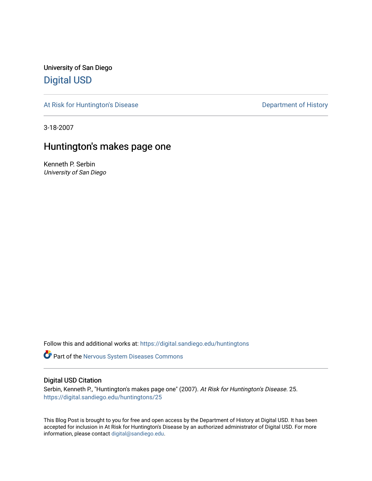University of San Diego [Digital USD](https://digital.sandiego.edu/)

[At Risk for Huntington's Disease](https://digital.sandiego.edu/huntingtons) **Department of History** Department of History

3-18-2007

## Huntington's makes page one

Kenneth P. Serbin University of San Diego

Follow this and additional works at: [https://digital.sandiego.edu/huntingtons](https://digital.sandiego.edu/huntingtons?utm_source=digital.sandiego.edu%2Fhuntingtons%2F25&utm_medium=PDF&utm_campaign=PDFCoverPages)

**Part of the [Nervous System Diseases Commons](http://network.bepress.com/hgg/discipline/928?utm_source=digital.sandiego.edu%2Fhuntingtons%2F25&utm_medium=PDF&utm_campaign=PDFCoverPages)** 

#### Digital USD Citation

Serbin, Kenneth P., "Huntington's makes page one" (2007). At Risk for Huntington's Disease. 25. [https://digital.sandiego.edu/huntingtons/25](https://digital.sandiego.edu/huntingtons/25?utm_source=digital.sandiego.edu%2Fhuntingtons%2F25&utm_medium=PDF&utm_campaign=PDFCoverPages)

This Blog Post is brought to you for free and open access by the Department of History at Digital USD. It has been accepted for inclusion in At Risk for Huntington's Disease by an authorized administrator of Digital USD. For more information, please contact [digital@sandiego.edu.](mailto:digital@sandiego.edu)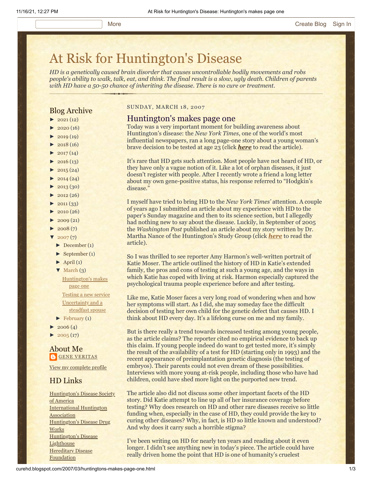# [At Risk for Huntington's Disease](http://curehd.blogspot.com/)

*HD is a genetically caused brain disorder that causes uncontrollable bodily movements and robs people's ability to walk, talk, eat, and think. The final result is a slow, ugly death. Children of parents with HD have a 50-50 chance of inheriting the disease. There is no cure or treatment.*

#### Blog Archive

- $\blacktriangleright$  [2021](http://curehd.blogspot.com/2021/) (12)
- $2020(16)$  $2020(16)$
- $-2019(19)$  $-2019(19)$  $-2019(19)$
- $\blacktriangleright$  [2018](http://curehd.blogspot.com/2018/) (16)
- $2017(14)$  $2017(14)$
- $2016(13)$  $2016(13)$
- $\blacktriangleright$  [2015](http://curehd.blogspot.com/2015/) (24)
- $\blacktriangleright$  [2014](http://curehd.blogspot.com/2014/) (24)
- $\blacktriangleright$  [2013](http://curehd.blogspot.com/2013/) (30)
- $\blacktriangleright$  [2012](http://curehd.blogspot.com/2012/) (26)
- $\blacktriangleright$  [2011](http://curehd.blogspot.com/2011/) (33)
- $\blacktriangleright$  [2010](http://curehd.blogspot.com/2010/) (26)
- $\blacktriangleright$  [2009](http://curehd.blogspot.com/2009/) (21)
- $\blacktriangleright$  [2008](http://curehd.blogspot.com/2008/) $(7)$
- $\sqrt{2007(7)}$  $\sqrt{2007(7)}$  $\sqrt{2007(7)}$
- [►](javascript:void(0)) [December](http://curehd.blogspot.com/2007/12/) (1)
- [►](javascript:void(0)) [September](http://curehd.blogspot.com/2007/09/) (1)
- $\blacktriangleright$  [April](http://curehd.blogspot.com/2007/04/) (1)
- [▼](javascript:void(0)) [March](http://curehd.blogspot.com/2007/03/) (3) [Huntington's](http://curehd.blogspot.com/2007/03/huntingtons-makes-page-one.html) makes

page one [Testing](http://curehd.blogspot.com/2007/03/testing-new-service.html) a new service [Uncertainty](http://curehd.blogspot.com/2007/03/uncertainty-and-steadfast-spouse.html) and a steadfast spouse

- $\blacktriangleright$  [February](http://curehd.blogspot.com/2007/02/) (1)
- $\blacktriangleright$  [2006](http://curehd.blogspot.com/2006/) (4)
- $2005(17)$  $2005(17)$

#### About Me **GENE [VERITAS](https://www.blogger.com/profile/10911736205741688185)**

View my [complete](https://www.blogger.com/profile/10911736205741688185) profile

#### HD Links

[Huntington's](http://www.hdsa.org/) Disease Society of America [International](http://www.huntington-assoc.com/) Huntington Association [Huntington's](http://hddrugworks.org/) Disease Drug **Works** [Huntington's](http://www.hdlighthouse.org/) Disease **Lighthouse Hereditary Disease [Foundation](http://www.hdfoundation.org/)** 

#### SUNDAY, MARCH 18, 2007

#### Huntington's makes page one

Today was a very important moment for building awareness about Huntington's disease: the *New York Times*, one of the world's most influential newspapers, ran a long page-one story about a young woman's brave decision to be tested at age 23 (click *[here](http://www.nytimes.com/2007/03/18/health/18huntington.html)* to read the article).

It's rare that HD gets such attention. Most people have not heard of HD, or they have only a vague notion of it. Like a lot of orphan diseases, it just doesn't register with people. After I recently wrote a friend a long letter about my own gene-positive status, his response referred to "Hodgkin's disease."

I myself have tried to bring HD to the *New York Times'* attention. A couple of years ago I submitted an article about my experience with HD to the paper's Sunday magazine and then to its science section, but I allegedly had nothing new to say about the disease. Luckily, in September of 2005 the *Washington Post* published an article about my story written by Dr. Martha Nance of the Huntington's Study Group (click *[here](http://curehd.blogspot.com/2005/09/uncertain-journey-along-genetic-trail.html)* to read the article).

So I was thrilled to see reporter Amy Harmon's well-written portrait of Katie Moser. The article outlined the history of HD in Katie's extended family, the pros and cons of testing at such a young age, and the ways in which Katie has coped with living at risk. Harmon especially captured the psychological trauma people experience before and after testing.

Like me, Katie Moser faces a very long road of wondering when and how her symptoms will start. As I did, she may someday face the difficult decision of testing her own child for the genetic defect that causes HD. I think about HD every day. It's a lifelong curse on me and my family.

But is there really a trend towards increased testing among young people, as the article claims? The reporter cited no empirical evidence to back up this claim. If young people indeed do want to get tested more, it's simply the result of the availability of a test for HD (starting only in 1993) and the recent appearance of preimplantation genetic diagnosis (the testing of embryos). Their parents could not even dream of these possibilities. Interviews with more young at-risk people, including those who have had children, could have shed more light on the purported new trend.

The article also did not discuss some other important facets of the HD story. Did Katie attempt to line up all of her insurance coverage before testing? Why does research on HD and other rare diseases receive so little funding when, especially in the case of HD, they could provide the key to curing other diseases? Why, in fact, is HD so little known and understood? And why does it carry such a horrible stigma?

I've been writing on HD for nearly ten years and reading about it even longer. I didn't see anything new in today's piece. The article could have really driven home the point that HD is one of humanity's cruelest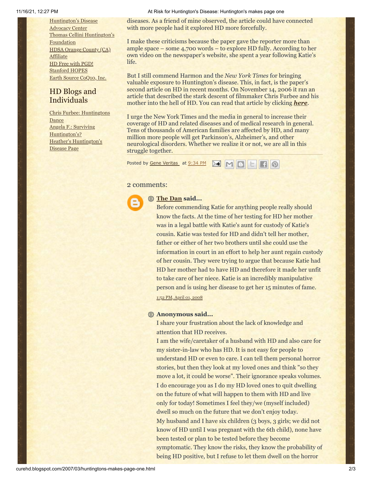[Huntington's](http://www.hdac.org/) Disease Advocacy Center Thomas [Cellini Huntington's](http://www.ourtchfoundation.org/) Foundation HDSA Orange County (CA) **[Affiliate](http://www.hdsaoc.org/)** HD Free with [PGD!](http://www.hdfreewithpgd.com/) [Stanford](http://www.stanford.edu/group/hopes/) HOPES Earth Source [CoQ10,](http://www.escoq10.com/) Inc.

### HD Blogs and Individuals

Chris Furbee: [Huntingtons](http://www.huntingtonsdance.org/) Dance Angela F.: Surviving [Huntington's?](http://survivinghuntingtons.blogspot.com/) Heather's [Huntington's](http://heatherdugdale.angelfire.com/) Disease Page

11/16/21, 12:27 PM At Risk for Huntington's Disease: Huntington's makes page one

diseases. As a friend of mine observed, the article could have connected with more people had it explored HD more forcefully.

I make these criticisms because the paper gave the reporter more than ample space – some 4,700 words – to explore HD fully. According to her own video on the newspaper's website, she spent a year following Katie's life.

But I still commend Harmon and the *New York Times* for bringing valuable exposure to Huntington's disease. This, in fact, is the paper's second article on HD in recent months. On November 14, 2006 it ran an article that described the stark descent of filmmaker Chris Furbee and his mother into the hell of HD. You can read that article by clicking *[here](http://www.huntingtonsdance.org/media/NYT_2006-11-14.pdf)*.

I urge the New York Times and the media in general to increase their coverage of HD and related diseases and of medical research in general. Tens of thousands of American families are affected by HD, and many million more people will get Parkinson's, Alzheimer's, and other neurological disorders. Whether we realize it or not, we are all in this struggle together.

Posted by <u>Gene [Veritas](https://www.blogger.com/profile/03599828959793084715)</u> at [9:34](http://curehd.blogspot.com/2007/03/huntingtons-makes-page-one.html) PM **M M B E** 

#### 2 comments:



#### **[The Dan](https://www.blogger.com/profile/18395532387903214435) said...**

Before commending Katie for anything people really should know the facts. At the time of her testing for HD her mother was in a legal battle with Katie's aunt for custody of Katie's cousin. Katie was tested for HD and didn't tell her mother, father or either of her two brothers until she could use the information in court in an effort to help her aunt regain custody of her cousin. They were trying to argue that because Katie had HD her mother had to have HD and therefore it made her unfit to take care of her niece. Katie is an incredibly manipulative person and is using her disease to get her 15 minutes of fame. 1:52 PM, April 01, [2008](http://curehd.blogspot.com/2007/03/huntingtons-makes-page-one.html?showComment=1207083120000#c1973848498559759760)

#### **Anonymous said...**

I share your frustration about the lack of knowledge and attention that HD receives.

I am the wife/caretaker of a husband with HD and also care for my sister-in-law who has HD. It is not easy for people to understand HD or even to care. I can tell them personal horror stories, but then they look at my loved ones and think "so they move a lot, it could be worse". Their ignorance speaks volumes. I do encourage you as I do my HD loved ones to quit dwelling on the future of what will happen to them with HD and live only for today! Sometimes I feel they/we (myself included) dwell so much on the future that we don't enjoy today. My husband and I have six children (3 boys, 3 girls; we did not know of HD until I was pregnant with the 6th child), none have been tested or plan to be tested before they become symptomatic. They know the risks, they know the probability of being HD positive, but I refuse to let them dwell on the horror